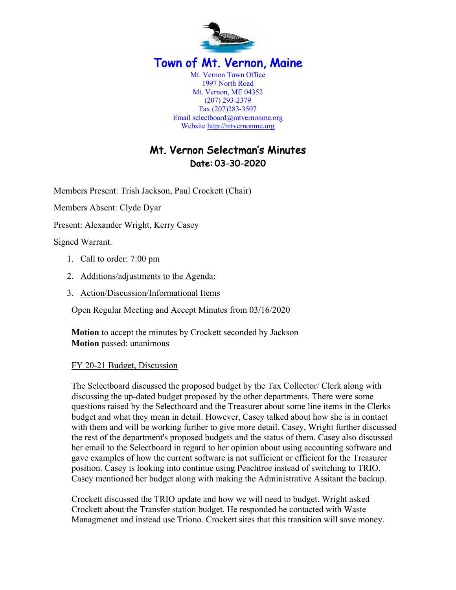

# Mt. Vernon Selectman's Minutes Date: 03-30-2020

Members Present: Trish Jackson, Paul Crockett (Chair)

Members Absent: Clyde Dyar

Present: Alexander Wright, Kerry Casey

Signed Warrant.

- 1. Call to order: 7:00 pm
- 2. Additions/adjustments to the Agenda:
- 3. Action/Discussion/Informational Items

Open Regular Meeting and Accept Minutes from 03/16/2020

**Motion** to accept the minutes by Crockett seconded by Jackson **Motion** passed: unanimous

#### FY 20-21 Budget, Discussion

The Selectboard discussed the proposed budget by the Tax Collector/ Clerk along with discussing the up-dated budget proposed by the other departments. There were some questions raised by the Selectboard and the Treasurer about some line items in the Clerks budget and what they mean in detail. However, Casey talked about how she is in contact with them and will be working further to give more detail. Casey, Wright further discussed the rest of the department's proposed budgets and the status of them. Casey also discussed her email to the Selectboard in regard to her opinion about using accounting software and gave examples of how the current software is not sufficient or efficient for the Treasurer position. Casey is looking into continue using Peachtree instead of switching to TRIO. Casey mentioned her budget along with making the Administrative Assitant the backup.

Crockett discussed the TRIO update and how we will need to budget. Wright asked Crockett about the Transfer station budget. He responded he contacted with Waste Managmenet and instead use Triono. Crockett sites that this transition will save money.